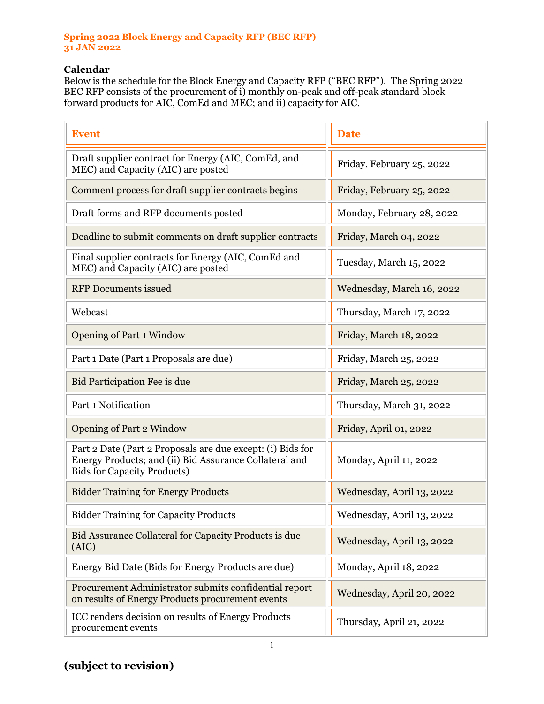## **Spring 2022 Block Energy and Capacity RFP (BEC RFP) 31 JAN 2022**

## **Calendar**

Below is the schedule for the Block Energy and Capacity RFP ("BEC RFP"). The Spring 2022 BEC RFP consists of the procurement of i) monthly on-peak and off-peak standard block forward products for AIC, ComEd and MEC; and ii) capacity for AIC.

| <b>Event</b>                                                                                                                                               | <b>Date</b>               |
|------------------------------------------------------------------------------------------------------------------------------------------------------------|---------------------------|
| Draft supplier contract for Energy (AIC, ComEd, and<br>MEC) and Capacity (AIC) are posted                                                                  | Friday, February 25, 2022 |
| Comment process for draft supplier contracts begins                                                                                                        | Friday, February 25, 2022 |
| Draft forms and RFP documents posted                                                                                                                       | Monday, February 28, 2022 |
| Deadline to submit comments on draft supplier contracts                                                                                                    | Friday, March 04, 2022    |
| Final supplier contracts for Energy (AIC, ComEd and<br>MEC) and Capacity (AIC) are posted                                                                  | Tuesday, March 15, 2022   |
| <b>RFP</b> Documents issued                                                                                                                                | Wednesday, March 16, 2022 |
| Webcast                                                                                                                                                    | Thursday, March 17, 2022  |
| <b>Opening of Part 1 Window</b>                                                                                                                            | Friday, March 18, 2022    |
| Part 1 Date (Part 1 Proposals are due)                                                                                                                     | Friday, March 25, 2022    |
| Bid Participation Fee is due                                                                                                                               | Friday, March 25, 2022    |
| Part 1 Notification                                                                                                                                        | Thursday, March 31, 2022  |
| <b>Opening of Part 2 Window</b>                                                                                                                            | Friday, April 01, 2022    |
| Part 2 Date (Part 2 Proposals are due except: (i) Bids for<br>Energy Products; and (ii) Bid Assurance Collateral and<br><b>Bids for Capacity Products)</b> | Monday, April 11, 2022    |
| <b>Bidder Training for Energy Products</b>                                                                                                                 | Wednesday, April 13, 2022 |
| <b>Bidder Training for Capacity Products</b>                                                                                                               | Wednesday, April 13, 2022 |
| Bid Assurance Collateral for Capacity Products is due<br>(AIC)                                                                                             | Wednesday, April 13, 2022 |
| Energy Bid Date (Bids for Energy Products are due)                                                                                                         | Monday, April 18, 2022    |
| Procurement Administrator submits confidential report<br>on results of Energy Products procurement events                                                  | Wednesday, April 20, 2022 |
| ICC renders decision on results of Energy Products<br>procurement events                                                                                   | Thursday, April 21, 2022  |